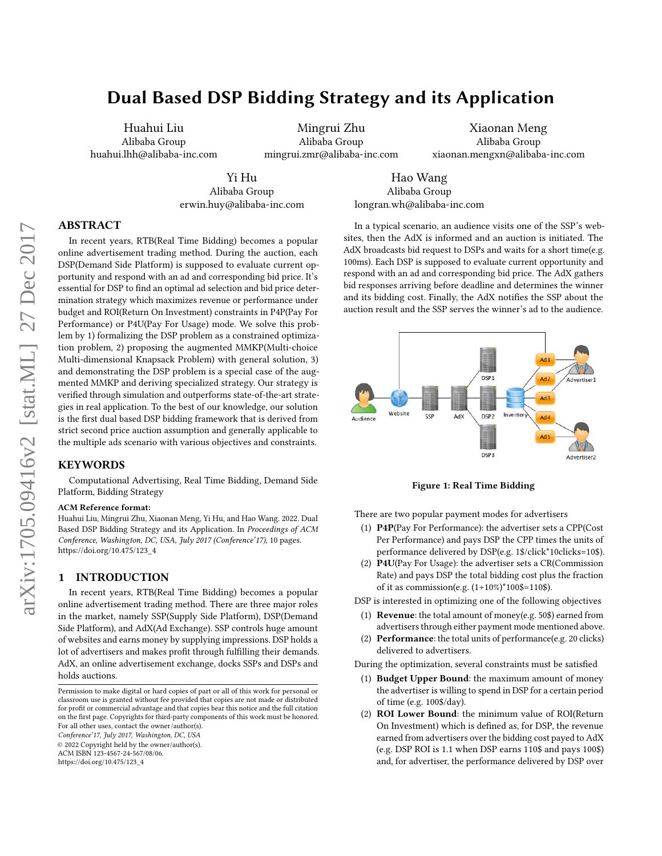# Dual Based DSP Bidding Strategy and its Application

Huahui Liu Alibaba Group huahui.lhh@alibaba-inc.com

Mingrui Zhu Alibaba Group mingrui.zmr@alibaba-inc.com

Xiaonan Meng Alibaba Group xiaonan.mengxn@alibaba-inc.com

Yi Hu Alibaba Group erwin.huy@alibaba-inc.com

Hao Wang Alibaba Group longran.wh@alibaba-inc.com

# ABSTRACT

In recent years, RTB(Real Time Bidding) becomes a popular online advertisement trading method. During the auction, each DSP(Demand Side Platform) is supposed to evaluate current opportunity and respond with an ad and corresponding bid price. It's essential for DSP to find an optimal ad selection and bid price determination strategy which maximizes revenue or performance under budget and ROI(Return On Investment) constraints in P4P(Pay For Performance) or P4U(Pay For Usage) mode. We solve this problem by 1) formalizing the DSP problem as a constrained optimization problem, 2) proposing the augmented MMKP(Multi-choice Multi-dimensional Knapsack Problem) with general solution, 3) and demonstrating the DSP problem is a special case of the augmented MMKP and deriving specialized strategy. Our strategy is verified through simulation and outperforms state-of-the-art strategies in real application. To the best of our knowledge, our solution is the first dual based DSP bidding framework that is derived from strict second price auction assumption and generally applicable to the multiple ads scenario with various objectives and constraints.

#### KEYWORDS

Computational Advertising, Real Time Bidding, Demand Side Platform, Bidding Strategy

#### ACM Reference format:

Huahui Liu, Mingrui Zhu, Xiaonan Meng, Yi Hu, and Hao Wang. 2022. Dual Based DSP Bidding Strategy and its Application. In Proceedings of ACM Conference, Washington, DC, USA, July 2017 (Conference'17), [10](#page-9-0) pages. [https://doi.org/10.475/123\\_4](https://doi.org/10.475/123_4)

## <span id="page-0-0"></span>1 INTRODUCTION

In recent years, RTB(Real Time Bidding) becomes a popular online advertisement trading method. There are three major roles in the market, namely SSP(Supply Side Platform), DSP(Demand Side Platform), and AdX(Ad Exchange). SSP controls huge amount of websites and earns money by supplying impressions. DSP holds a lot of advertisers and makes profit through fulfilling their demands. AdX, an online advertisement exchange, docks SSPs and DSPs and holds auctions.

Conference'17, July 2017, Washington, DC, USA

© 2022 Copyright held by the owner/author(s).

ACM ISBN 123-4567-24-567/08/06.

[https://doi.org/10.475/123\\_4](https://doi.org/10.475/123_4)

In a typical scenario, an audience visits one of the SSP's websites, then the AdX is informed and an auction is initiated. The AdX broadcasts bid request to DSPs and waits for a short time(e.g. 100ms). Each DSP is supposed to evaluate current opportunity and respond with an ad and corresponding bid price. The AdX gathers bid responses arriving before deadline and determines the winner and its bidding cost. Finally, the AdX notifies the SSP about the auction result and the SSP serves the winner's ad to the audience.



Figure 1: Real Time Bidding

There are two popular payment modes for advertisers

- (1) P4P(Pay For Performance): the advertiser sets a CPP(Cost Per Performance) and pays DSP the CPP times the units of performance delivered by DSP(e.g. 1\$/click\*10clicks=10\$).
- (2) P4U(Pay For Usage): the advertiser sets a CR(Commission Rate) and pays DSP the total bidding cost plus the fraction of it as commission(e.g. (1+10%)\*100\$=110\$).
- DSP is interested in optimizing one of the following objectives
- (1) **Revenue**: the total amount of money(e.g. 50\$) earned from advertisers through either payment mode mentioned above.
- (2) Performance: the total units of performance(e.g. 20 clicks) delivered to advertisers.

During the optimization, several constraints must be satisfied

- (1) Budget Upper Bound: the maximum amount of money the advertiser is willing to spend in DSP for a certain period of time (e.g. 100\$/day).
- (2) ROI Lower Bound: the minimum value of ROI(Return On Investment) which is defined as, for DSP, the revenue earned from advertisers over the bidding cost payed to AdX (e.g. DSP ROI is 1.1 when DSP earns 110\$ and pays 100\$) and, for advertiser, the performance delivered by DSP over

Permission to make digital or hard copies of part or all of this work for personal or classroom use is granted without fee provided that copies are not made or distributed for profit or commercial advantage and that copies bear this notice and the full citation on the first page. Copyrights for third-party components of this work must be honored. For all other uses, contact the owner/author(s).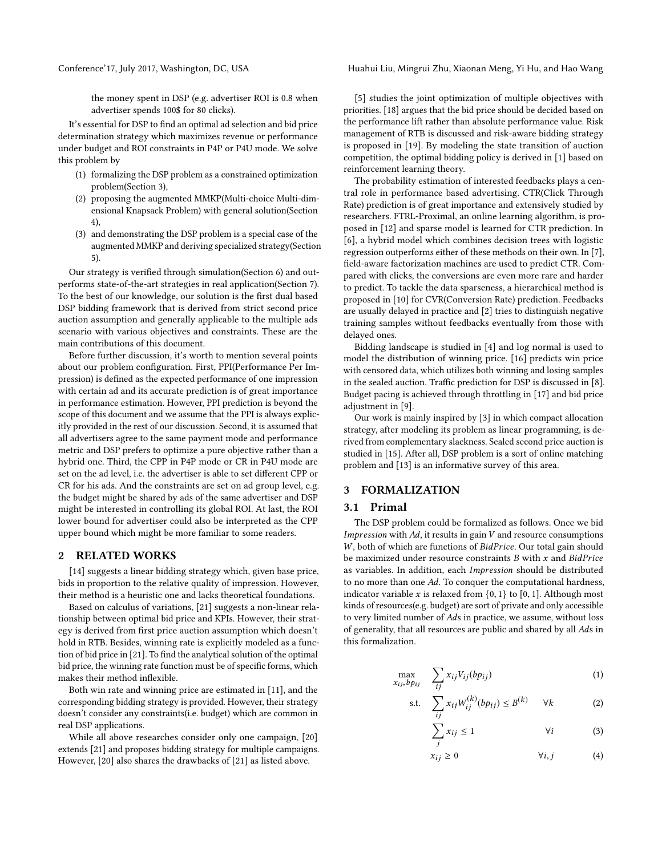Conference'17, July 2017, Washington, DC, USA Huahui Liu, Mingrui Zhu, Xiaonan Meng, Yi Hu, and Hao Wang

the money spent in DSP (e.g. advertiser ROI is 0.8 when advertiser spends 100\$ for 80 clicks).

It's essential for DSP to find an optimal ad selection and bid price determination strategy which maximizes revenue or performance under budget and ROI constraints in P4P or P4U mode. We solve this problem by

- (1) formalizing the DSP problem as a constrained optimization problem(Section [3\)](#page-1-0),
- (2) proposing the augmented MMKP(Multi-choice Multi-dimensional Knapsack Problem) with general solution(Section [4\)](#page-2-0),
- (3) and demonstrating the DSP problem is a special case of the augmented MMKP and deriving specialized strategy(Section [5\)](#page-5-0).

Our strategy is verified through simulation(Section [6\)](#page-5-1) and outperforms state-of-the-art strategies in real application(Section [7\)](#page-6-0). To the best of our knowledge, our solution is the first dual based DSP bidding framework that is derived from strict second price auction assumption and generally applicable to the multiple ads scenario with various objectives and constraints. These are the main contributions of this document.

Before further discussion, it's worth to mention several points about our problem configuration. First, PPI(Performance Per Impression) is defined as the expected performance of one impression with certain ad and its accurate prediction is of great importance in performance estimation. However, PPI prediction is beyond the scope of this document and we assume that the PPI is always explicitly provided in the rest of our discussion. Second, it is assumed that all advertisers agree to the same payment mode and performance metric and DSP prefers to optimize a pure objective rather than a hybrid one. Third, the CPP in P4P mode or CR in P4U mode are set on the ad level, i.e. the advertiser is able to set different CPP or CR for his ads. And the constraints are set on ad group level, e.g. the budget might be shared by ads of the same advertiser and DSP might be interested in controlling its global ROI. At last, the ROI lower bound for advertiser could also be interpreted as the CPP upper bound which might be more familiar to some readers.

#### 2 RELATED WORKS

[\[14\]](#page-9-1) suggests a linear bidding strategy which, given base price, bids in proportion to the relative quality of impression. However, their method is a heuristic one and lacks theoretical foundations.

Based on calculus of variations, [\[21\]](#page-9-2) suggests a non-linear relationship between optimal bid price and KPIs. However, their strategy is derived from first price auction assumption which doesn't hold in RTB. Besides, winning rate is explicitly modeled as a function of bid price in [\[21\]](#page-9-2). To find the analytical solution of the optimal bid price, the winning rate function must be of specific forms, which makes their method inflexible.

Both win rate and winning price are estimated in [\[11\]](#page-9-3), and the corresponding bidding strategy is provided. However, their strategy doesn't consider any constraints(i.e. budget) which are common in real DSP applications.

While all above researches consider only one campaign, [\[20\]](#page-9-4) extends [\[21\]](#page-9-2) and proposes bidding strategy for multiple campaigns. However, [\[20\]](#page-9-4) also shares the drawbacks of [\[21\]](#page-9-2) as listed above.

[\[5\]](#page-9-5) studies the joint optimization of multiple objectives with priorities. [\[18\]](#page-9-6) argues that the bid price should be decided based on the performance lift rather than absolute performance value. Risk management of RTB is discussed and risk-aware bidding strategy is proposed in [\[19\]](#page-9-7). By modeling the state transition of auction competition, the optimal bidding policy is derived in [\[1\]](#page-9-8) based on reinforcement learning theory.

The probability estimation of interested feedbacks plays a central role in performance based advertising. CTR(Click Through Rate) prediction is of great importance and extensively studied by researchers. FTRL-Proximal, an online learning algorithm, is proposed in [\[12\]](#page-9-9) and sparse model is learned for CTR prediction. In [\[6\]](#page-9-10), a hybrid model which combines decision trees with logistic regression outperforms either of these methods on their own. In [\[7\]](#page-9-11), field-aware factorization machines are used to predict CTR. Compared with clicks, the conversions are even more rare and harder to predict. To tackle the data sparseness, a hierarchical method is proposed in [\[10\]](#page-9-12) for CVR(Conversion Rate) prediction. Feedbacks are usually delayed in practice and [\[2\]](#page-9-13) tries to distinguish negative training samples without feedbacks eventually from those with delayed ones.

Bidding landscape is studied in [\[4\]](#page-9-14) and log normal is used to model the distribution of winning price. [\[16\]](#page-9-15) predicts win price with censored data, which utilizes both winning and losing samples in the sealed auction. Traffic prediction for DSP is discussed in [\[8\]](#page-9-16). Budget pacing is achieved through throttling in [\[17\]](#page-9-17) and bid price adjustment in [\[9\]](#page-9-18).

Our work is mainly inspired by [\[3\]](#page-9-19) in which compact allocation strategy, after modeling its problem as linear programming, is derived from complementary slackness. Sealed second price auction is studied in [\[15\]](#page-9-20). After all, DSP problem is a sort of online matching problem and [\[13\]](#page-9-21) is an informative survey of this area.

## <span id="page-1-0"></span>3 FORMALIZATION

#### 3.1 Primal

The DSP problem could be formalized as follows. Once we bid Impression with  $Ad$ , it results in gain  $V$  and resource consumptions W, both of which are functions of BidPrice. Our total gain should be maximized under resource constraints  $B$  with  $x$  and  $BidPrice$ as variables. In addition, each Impression should be distributed to no more than one Ad. To conquer the computational hardness, indicator variable x is relaxed from  $\{0, 1\}$  to  $[0, 1]$ . Although most kinds of resources(e.g. budget) are sort of private and only accessible to very limited number of Ads in practice, we assume, without loss of generality, that all resources are public and shared by all Ads in this formalization.

$$
\max_{x_{ij}, b p_{ij}} \quad \sum_{ij} x_{ij} V_{ij} (b p_{ij}) \tag{1}
$$

$$
\text{s.t.} \quad \sum_{ij} x_{ij} W_{ij}^{(k)} (bp_{ij}) \le B^{(k)} \qquad \forall k \tag{2}
$$

$$
\sum_{j} x_{ij} \le 1 \qquad \forall i \qquad (3)
$$

$$
x_{ij} \ge 0 \qquad \qquad \forall i,j \qquad \qquad (4)
$$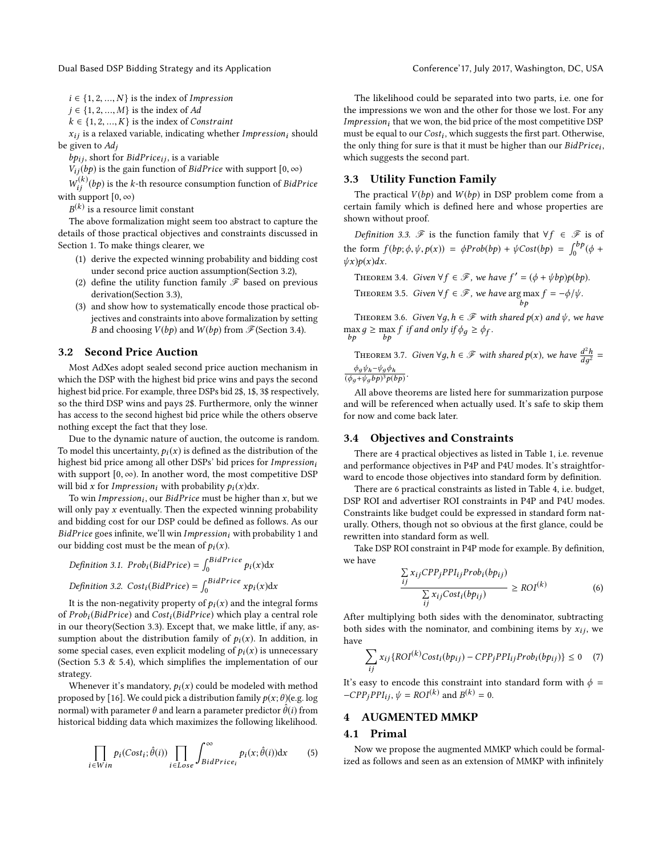Dual Based DSP Bidding Strategy and its Application Conference' Conference' 17, July 2017, Washington, DC, USA

 $i \in \{1, 2, ..., N\}$  is the index of Impression

 $j$  ∈ {1, 2, ..., *M*} is the index of *Ad* 

 $k \in \{1, 2, ..., K\}$  is the index of Constraint

 $x_{ij}$  is a relaxed variable, indicating whether Impression<sub>i</sub> should be given to  $Ad<sub>i</sub>$ 

 $bp_{ij}$ , short for BidPrice<sub>ij</sub>, is a variable

 $V_{ij}(bp)$  is the gain function of *BidPrice* with support  $[0, \infty)$ 

with support  $[0, \infty)$ <br> $B(k)$  is a recourse  $\frac{f(k)}{f(j)}(bp)$  is the k-th resource consumption function of *BidPrice*<br>support  $[0, \infty)$ 

 $\ ^{(k)}$  is a resource limit constant

B The above formalization might seem too abstract to capture the details of those practical objectives and constraints discussed in Section [1.](#page-0-0) To make things clearer, we

- (1) derive the expected winning probability and bidding cost under second price auction assumption(Section [3.2\)](#page-2-1),
- (2) define the utility function family  $\mathscr F$  based on previous derivation(Section [3.3\)](#page-2-2),
- (3) and show how to systematically encode those practical objectives and constraints into above formalization by setting *B* and choosing  $V(bp)$  and  $W(bp)$  from  $\mathcal{F}$  (Section [3.4\)](#page-2-3).

## <span id="page-2-1"></span>3.2 Second Price Auction

Most AdXes adopt sealed second price auction mechanism in which the DSP with the highest bid price wins and pays the second highest bid price. For example, three DSPs bid 2\$, 1\$, 3\$ respectively, so the third DSP wins and pays 2\$. Furthermore, only the winner has access to the second highest bid price while the others observe nothing except the fact that they lose.

Due to the dynamic nature of auction, the outcome is random. To model this uncertainty,  $p_i(x)$  is defined as the distribution of the highest bid price among all other DSPs' bid prices for  $Impression_i$ with support  $[0, \infty)$ . In another word, the most competitive DSP will bid x for Impression<sub>i</sub> with probability  $p_i(x)dx$ .

To win *Impression<sub>i</sub>*, our *BidPrice* must be higher than *x*, but we look that we were the expected winning probability will only pay  $x$  eventually. Then the expected winning probability and bidding cost for our DSP could be defined as follows. As our  $BidPrice$  goes infinite, we'll win Impression; with probability 1 and our bidding cost must be the mean of  $p_i(x)$ .

*Definition 3.1. Prob<sub>i</sub>(BidPrice) =* 
$$
\int_0^{BidPrice} p_i(x) dx
$$
*Definition 3.2. Cost<sub>i</sub>(BidPrice) =* 
$$
\int_0^{BidPrice} x p_i(x) dx
$$

It is the non-negativity property of  $p_i(x)$  and the integral forms of  $Prob<sub>i</sub>(BidPrice)$  and  $Cost<sub>i</sub>(BidPrice)$  which play a central role in our theory(Section [3.3\)](#page-2-2). Except that, we make little, if any, assumption about the distribution family of  $p_i(x)$ . In addition, in some special cases, even explicit modeling of  $p_i(x)$  is unnecessary (Section [5.3](#page-5-2) & [5.4\)](#page-5-3), which simplifies the implementation of our strategy.

Whenever it's mandatory,  $p_i(x)$  could be modeled with method proposed by [\[16\]](#page-9-15). We could pick a distribution family  $p(x; \theta)$ (e.g. log normal) with parameter  $\theta$  and learn a parameter predictor  $\hat{\theta}(i)$  from historical bidding data which maximizes the following likelihood.

$$
\prod_{i \in Win} p_i(Cost_i; \hat{\theta}(i)) \prod_{i \in Loss} \int_{BidPrice_i}^{\infty} p_i(x; \hat{\theta}(i)) dx
$$
 (5)

The likelihood could be separated into two parts, i.e. one for the impressions we won and the other for those we lost. For any *Impression<sub>i</sub>* that we won, the bid price of the most competitive DSP must be equal to our  $Cost_i$ , which suggests the first part. Otherwise, the only thing for sure is that it must be higher than our  $BidPrice$ . the only thing for sure is that it must be higher than our  $BidPrice_i$ , which suggests the second part.

#### <span id="page-2-2"></span>3.3 Utility Function Family

The practical  $V(bp)$  and  $W(bp)$  in DSP problem come from a certain family which is defined here and whose properties are shown without proof.

Definition 3.3.  $\mathscr F$  is the function family that  $\forall f \in \mathscr F$  is of the form  $f(bp; \phi, \psi, p(x)) = \phi Prob(bp) + \psi Cost(bp) = \int_0^{bp} (\phi + \psi cost(bp)) d\phi$  $\psi x)p(x)dx$ .

<span id="page-2-4"></span>THEOREM 3.4. Given  $\forall f \in \mathcal{F}$ , we have  $f' = (\phi + \psi b p) p (b p)$ .

<span id="page-2-6"></span>THEOREM 3.5. Given 
$$
\forall f \in \mathcal{F}
$$
, we have arg max  $f = -\phi/\psi$ .

<span id="page-2-7"></span>THEOREM 3.6. Given  $\forall g, h \in \mathscr{F}$  with shared  $p(x)$  and  $\psi$ , we have  $\max_{bp} g \ge \max_{bp} f$  if and only if  $\phi_g \ge \phi_f$ .

<span id="page-2-5"></span>THEOREM 3.7. Given  $\forall g, h \in \mathscr{F}$  with shared  $p(x)$ , we have  $\frac{d^2}{dg}$  $\frac{n}{2}$  = dд  $φ_gψ_h$ - $ψ_gφ_h$ 

 $\frac{\varphi g \varphi h - \varphi g \varphi h}{(\phi_g + \psi_g b p)^3 p(b p)}$ .

 $\overline{f}$ 

 $\overline{f}$ 

All above theorems are listed here for summarization purpose and will be referenced when actually used. It's safe to skip them for now and come back later.

#### <span id="page-2-3"></span>3.4 Objectives and Constraints

There are 4 practical objectives as listed in Table [1,](#page-3-0) i.e. revenue and performance objectives in P4P and P4U modes. It's straightforward to encode those objectives into standard form by definition.

There are 6 practical constraints as listed in Table [4,](#page-6-1) i.e. budget, DSP ROI and advertiser ROI constraints in P4P and P4U modes. Constraints like budget could be expressed in standard form naturally. Others, though not so obvious at the first glance, could be rewritten into standard form as well.

Take DSP ROI constraint in P4P mode for example. By definition, we have

$$
\frac{\sum_{ij} x_{ij} CPP_j PPI_{ij} Prob_i(bp_{ij})}{\sum_{ij} x_{ij} Cost_i(bp_{ij})} \geq ROI^{(k)}
$$
(6)

ij After multiplying both sides with the denominator, subtracting both sides with the nominator, and combining items by  $x_{ij}$ , we have

$$
\sum_{ij} x_{ij} \{ROI^{(k)}Cost_i(bp_{ij}) - CPP_jPPI_{ij}Prob_i(bp_{ij})\} \le 0 \quad (7)
$$

It's easy to encode this constraint into standard form with  $\phi =$ <br>CPD-PDL  $\psi = POI^{(k)}$  and  $P^{(k)} = 0$  $-CPP_jPPI_{ij}$ ,  $\psi = ROI^{(k)}$  and  $B^{(k)} = 0$ .

## <span id="page-2-0"></span>4 AUGMENTED MMKP

#### 4.1 Primal

Now we propose the augmented MMKP which could be formalized as follows and seen as an extension of MMKP with infinitely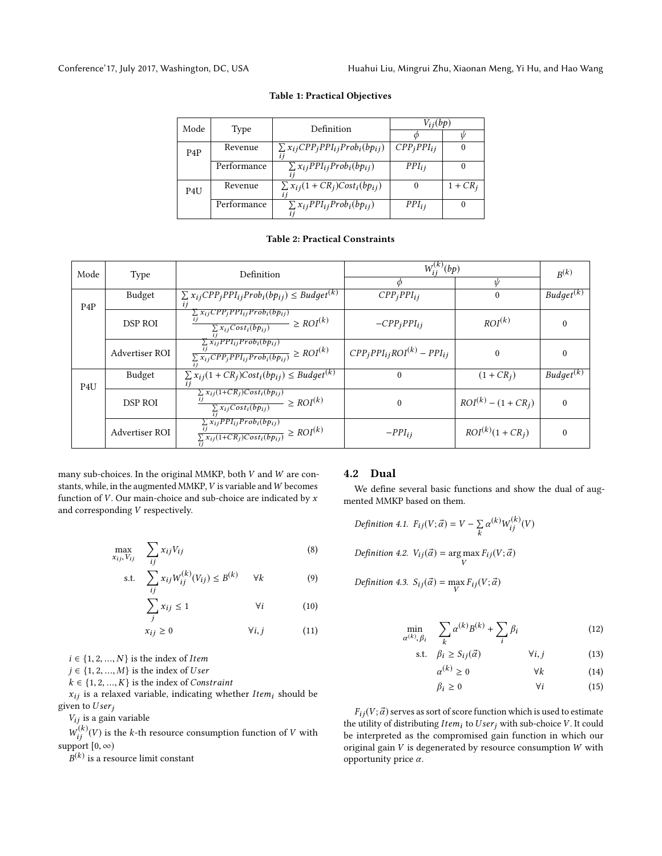<span id="page-3-0"></span>

| Mode             | Type        | Definition                                   | $V_{ij}(bp)$    |            |  |
|------------------|-------------|----------------------------------------------|-----------------|------------|--|
|                  |             |                                              |                 | Ψ          |  |
| P <sub>4</sub> P | Revenue     | $\sum x_{ij} CPP_j PPI_{ij} Prob_i(bp_{ij})$ | $CPP_iPPI_{ij}$ |            |  |
|                  | Performance | $\sum x_{ij} PPI_{ij} Prob_i(bp_{ij})$       | $PPI_{ij}$      |            |  |
| P4U              | Revenue     | $\sum x_{ij}(1+CR_j)Cost_i(bp_{ij})$         | $\theta$        | $1 + CR_i$ |  |
|                  | Performance | $\sum x_{ij} PPI_{ij} Prob_i(bp_{ij})$       | $PPI_{ii}$      |            |  |
|                  |             |                                              |                 |            |  |

#### Table 1: Practical Objectives

## Table 2: Practical Constraints

| Mode             | Type           | Definition                                                                                                        | $W_{ii}^{(k)}(bp)$                   | $R^{(k)}$                |                            |
|------------------|----------------|-------------------------------------------------------------------------------------------------------------------|--------------------------------------|--------------------------|----------------------------|
|                  |                |                                                                                                                   |                                      | Ŵ                        |                            |
| P <sub>4</sub> P | Budget         | $\sum x_{ij} CPP_j PPI_{ij} Prob_i(bp_{ij}) \leq Budget^{(k)}$                                                    | $CPP_iPPI_{ij}$                      | $\Omega$                 | $Budge \overline{t^{(k)}}$ |
|                  | DSP ROI        | $\sum x_{ij} CPP_j PPI_{ij} Prob_i(bp_{ij})$<br>$\frac{1}{\sum x_{ij}Cost_i(bp_{ij})} \geq ROI^{(k)}$             | $-CPP_iPPI_{ij}$                     | ROI <sup>(k)</sup>       |                            |
|                  | Advertiser ROI | $\sum x_{ij} PPI_{ij} Prob_i(bp_{ij})$<br>$\frac{i j}{\sum x_{ij} CPP_j PPI_{ij} Prob_i(bp_{ij})} \geq ROI^{(k)}$ | $CPP_i PPI_{ij}ROI^{(k)} - PPI_{ij}$ | $\Omega$                 |                            |
| P <sub>4</sub> U | Budget         | $\sum x_{ij}(1+CR_j)Cost_i(bpi_j) \leq Budget^{(k)}$                                                              | $\Omega$                             | $(1 + CR_i)$             | $Budget^{(k)}$             |
|                  | <b>DSP ROI</b> | $\frac{\sum x_{ij}(1+CR_j)Cost_i(bp_{ij})}{\sum x_{ij}Cost_i(bp_{ij})} \geq ROI^{(k)}$                            | $\theta$                             | $ROI^{(k)} - (1 + CR_i)$ | $\Omega$                   |
|                  | Advertiser ROI | $\sum_{ij} x_{ij} PPI_{ij} Prob_i(bp_{ij})$<br>$\frac{y}{\sum x_{ij}(1+CR_j)Cost_i(bp_{ij})} \geq ROI^{(k)}$      | $-PPI_{ij}$                          | $ROI(k)(1 + CRj)$        | $\Omega$                   |

many sub-choices. In the original MMKP, both V and W are constants, while, in the augmented MMKP,  $V$  is variable and  $W$  becomes function of  $V$ . Our main-choice and sub-choice are indicated by  $x$ and corresponding V respectively.

$$
\max_{x_{ij}, V_{ij}} \quad \sum_{ij} x_{ij} V_{ij} \tag{8}
$$

$$
\text{s.t.} \quad \sum_{ij} x_{ij} W_{ij}^{(k)}(V_{ij}) \leq B^{(k)} \qquad \forall k \tag{9}
$$

$$
\sum_{i} x_{ij} \le 1 \qquad \forall i \qquad (10)
$$

$$
x_{ij} \ge 0 \qquad \forall i, j \qquad (11)
$$

 $i \in \{1, 2, ..., N\}$  is the index of Item

 $j \in \{1, 2, ..., M\}$  is the index of User

 $k \in \{1, 2, ..., K\}$  is the index of *Constraint* 

 $x_{ij}$  is a relaxed variable, indicating whether Item<sub>i</sub> should be given to  $User_j$ 

 $V_{ij}$  is a gain variable

 $\text{support } [0, \infty)$ <br> $p(k)$  is a real  $\frac{f(k)}{f(j)}(V)$  is the k-th resource consumption function of V with  $\frac{f(k)}{f(k)}(V)$ 

 $\ ^{(k)}$  is a resource limit constant

#### 4.2 Dual

We define several basic functions and show the dual of augmented MMKP based on them.

Definition 4.1. 
$$
F_{ij}(V; \vec{\alpha}) = V - \sum_{k} \alpha^{(k)} W_{ij}^{(k)}(V)
$$
  
Definition 4.2.  $V_{ij}(\vec{\alpha}) = \arg \max_{V} F_{ij}(V; \vec{\alpha})$ 

 $\beta_i$ 

Definition 4.3.  $S_{ij}(\vec{\alpha}) = \max_{V} F_{ij}(V; \vec{\alpha})$ 

$$
\min_{\alpha^{(k)}, \beta_i} \quad \sum_k \alpha^{(k)} B^{(k)} + \sum_i \beta_i \tag{12}
$$

s.t. 
$$
\beta_i \ge S_{ij}(\vec{\alpha})
$$
  $\forall i, j$  (13)

$$
\alpha^{(k)} \ge 0 \qquad \forall k \qquad (14)
$$

$$
\beta_i \ge 0 \qquad \qquad \forall i \qquad (15)
$$

 $F_{ij}(V; \vec{\alpha})$  serves as sort of score function which is used to estimate the utility of distributing  $Item_i$  to  $User_j$  with sub-choice V. It could be interpreted as the compromised gain function in which our original gain V is degenerated by resource consumption W with opportunity price α.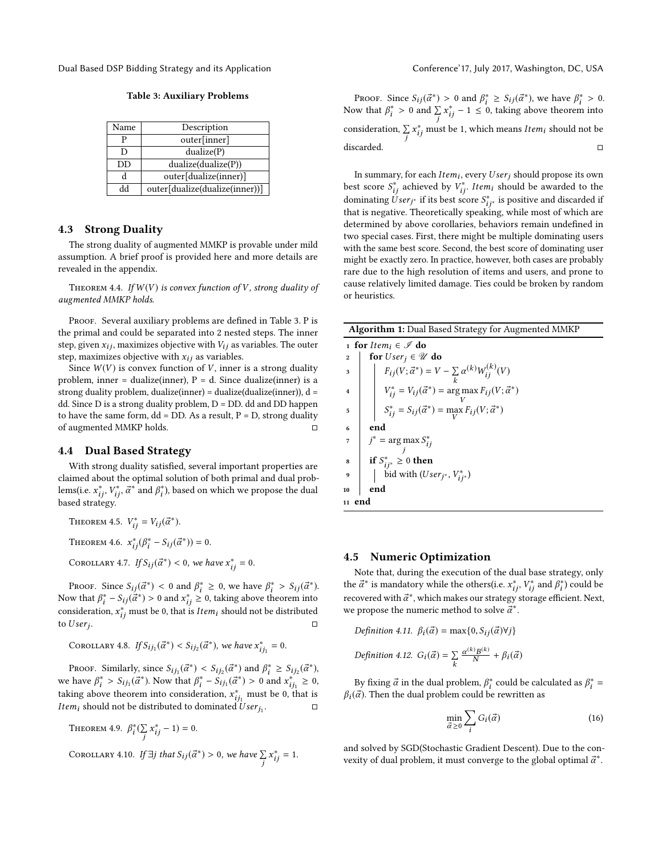<span id="page-4-0"></span>Dual Based DSP Bidding Strategy and its Application Conference' Conference' 17, July 2017, Washington, DC, USA

Table 3: Auxiliary Problems

| Name | Description                    |
|------|--------------------------------|
| р    | outer[inner]                   |
| D    | dualize(P)                     |
| DD   | dualize(dualize(P))            |
| d    | outer[dualize(inner)]          |
| hh   | outer[dualize(dualize(inner))] |

#### 4.3 Strong Duality

The strong duality of augmented MMKP is provable under mild assumption. A brief proof is provided here and more details are revealed in the appendix.

<span id="page-4-1"></span>THEOREM 4.4. If  $W(V)$  is convex function of V, strong duality of augmented MMKP holds.

PROOF. Several auxiliary problems are defined in Table [3.](#page-4-0) P is the primal and could be separated into 2 nested steps. The inner step, given  $x_{ij}$ , maximizes objective with  $V_{ij}$  as variables. The outer step, maximizes objective with  $x_{ij}$  as variables.

Since  $W(V)$  is convex function of V, inner is a strong duality problem, inner = dualize(inner),  $P = d$ . Since dualize(inner) is a strong duality problem, dualize(inner) = dualize(dualize(inner)), d = dd. Since D is a strong duality problem, D = DD. dd and DD happen to have the same form,  $dd = DD$ . As a result,  $P = D$ , strong duality of augmented MMKP holds.  $□$ 

#### 4.4 Dual Based Strategy

With strong duality satisfied, several important properties are claimed about the optimal solution of both primal and dual problems(i.e.  $x_{ij}^*, V_{ij}^*, \vec{\alpha}^*$  and  $\beta_i^*$ ), based on which we propose the dual<br>hased strategy based strategy.

THEOREM 4.5. 
$$
V_{ij}^* = V_{ij}(\vec{\alpha}^*).
$$

THEOREM 4.6.  $x_{ij}^*(\beta_i^* - S_{ij}(\vec{\alpha}^*)) = 0$ .

COROLLARY 4.7. If  $S_{ij}(\vec{\alpha}^*) < 0$ , we have  $x_{ij}^* = 0$ .

PROOF. Since  $S_{ij}(\vec{\alpha}^*) < 0$  and  $\beta_i^* \ge 0$ , we have  $\beta_i^* > S_{ij}(\vec{\alpha}^*)$ . Now that  $\beta_i^* - S_{ij}(\vec{\alpha}^*) > 0$  and  $x_{ij}^* \ge 0$ , taking above theorem into<br>consideration  $x^*$  must be 0, that is *Item*: should not be distributed consideration,  $x_{ij}^*$  must be 0, that is *Item<sub>i</sub>* should not be distributed to *User*: to  $User_i$ . .  $\Box$ 

COROLLARY 4.8. If  $S_{ij_1}(\vec{\alpha}^*) < S_{ij_2}(\vec{\alpha}^*)$ , we have  $x_{i_j}^*$  $i_{j_1}^* = 0.$ 

Proof. Similarly, since  $S_{ij_1}(\vec{\alpha}^*) < S_{ij_2}(\vec{\alpha}^*)$  and  $\beta_i^* \geq S_{ij_2}(\vec{\alpha}^*)$ , however  $\beta_i^* \geq S_{ij_2}(\vec{\alpha}^*)$ . we have  $\beta_i^* > S_{ij_1}(\vec{\alpha}^*)$ . Now that  $\beta_i^* - S_{ij_1}(\vec{\alpha}^*) > 0$  and  $x_{ij_1}^* \ge 0$ ,<br>taking above the cause into consideration  $x^*$ , must be 0, that is taking above theorem into consideration,  $x_{ij_1}^*$  must be 0, that is<br>taking above theorem into consideration,  $x_{ij_1}^*$  must be 0, that is the distributed to dominated  $User_{j_1}$ <br>*Item<sub>i</sub>* should not be distributed to dominated  $User_{j_1}$ . □

THEOREM 4.9. 
$$
\beta_i^*(\sum_j x_{ij}^* - 1) = 0.
$$
   
\nCOROLLARY 4.10. If  $\exists j$  that  $S_{ij}(\vec{\alpha}^*) > 0$ , we have  $\sum_j x_{ij}^* = 1$ .

PROOF. Since  $S_{ij}(\vec{\alpha}^*) > 0$  and  $\beta_i^* \ge S_{ij}(\vec{\alpha}^*)$ , we have  $\beta_i^* > 0$ , we that  $\beta_i^* > 0$  and  $\sum x_i^* = 1 \le 0$  toking above theorem into Now that  $\beta_i^* > 0$  and  $\sum_j x_{ij}^* - 1 \leq 0$ , taking above theorem  $i^* > 0$  and  $\sum_j x_j$ consideration,  $\sum_{j} x_{ij}^{*}$  mu  $i_j^*$  – 1 ≤ 0, taking above theorem into j  $i_j^*$  must be 1, which means  $Item_i$  should not be discarded. □ □

In summary, for each *Item<sub>i</sub>*, every  $User_j$  should propose its own<br>st score  $S^*$  achieved by  $V^*$  *Item*: should be awarded to the best score  $S_{ij}^*$  achieved by  $V_{ij}^*$ . Item<sub>i</sub> should be awarded to the dominating *Hser*<sub>1</sub> if its best score  $S^*$  is positive and discarded if dominating  $\ddot{U}$  ser<sub>j<sup>\*</sup></sub> if its best score  $S_{ij}^*$  is positive and discarded if that is negative. Theoretically speaking while most of which are that is negative. Theoretically speaking, while most of which are determined by above corollaries, behaviors remain undefined in two special cases. First, there might be multiple dominating users with the same best score. Second, the best score of dominating user might be exactly zero. In practice, however, both cases are probably rare due to the high resolution of items and users, and prone to cause relatively limited damage. Ties could be broken by random or heuristics.

| <b>Algorithm 1:</b> Dual Based Strategy for Augmented MMKP                                                                                                                                                       |  |  |  |  |
|------------------------------------------------------------------------------------------------------------------------------------------------------------------------------------------------------------------|--|--|--|--|
| 1 for Item, $\in \mathcal{I}$ do                                                                                                                                                                                 |  |  |  |  |
| for $User_i \in \mathscr{U}$ do<br>$\overline{2}$                                                                                                                                                                |  |  |  |  |
| $F_{ij}(V; \vec{\alpha}^*) = V - \sum_{k} \alpha^{(k)} W_{ij}^{(k)}(V)$<br>3                                                                                                                                     |  |  |  |  |
| $\begin{aligned} V_{ij}^* &= V_{ij}(\vec{\alpha}^*) = \underset{V}{\arg\max} \, F_{ij}(V; \vec{\alpha}^*) \\ S_{ij}^* &= S_{ij}(\vec{\alpha}^*) = \underset{V}{\max} \, F_{ij}(V; \vec{\alpha}^*) \end{aligned}$ |  |  |  |  |
| 5                                                                                                                                                                                                                |  |  |  |  |
| end<br>6                                                                                                                                                                                                         |  |  |  |  |
| $j^*$ = arg max $S_{ij}^*$                                                                                                                                                                                       |  |  |  |  |
| if $S_{ij^*}^* \geq 0$ then<br>8                                                                                                                                                                                 |  |  |  |  |
| bid with (User <sub>j*</sub> , $V_{ij}^*$ )<br>$\boldsymbol{9}$                                                                                                                                                  |  |  |  |  |
| end<br>10                                                                                                                                                                                                        |  |  |  |  |
| 11 end                                                                                                                                                                                                           |  |  |  |  |

#### 4.5 Numeric Optimization

Note that, during the execution of the dual base strategy, only the  $\vec{\alpha}^*$  is mandatory while the others(i.e.  $x_{ij}^*, V_{ij}^*$  and  $\beta_i^*$ ) could be recovered with  $\vec{\alpha}^*$  which makes our strategy starage efficient. Next recovered with  $\vec{a}^*$ , which makes our strategy storage efficient. Next, we propose the numeric method to solve  $\vec{a}^*$ .

Definition 4.11.  $\beta_i(\vec{\alpha}) = \max\{0, S_{ij}(\vec{\alpha}) \forall j\}$ Definition 4.12.  $G_i(\vec{\alpha}) = \sum_{k} \frac{\alpha^{(k)} B^{(k)}}{N}$  $\frac{\partial B^{(k)}}{\partial N} + \beta_i(\vec{\alpha})$ 

By fixing  $\vec{\alpha}$  in the dual problem,  $\beta_i^*$  could be calculated as  $\beta_i^* = \vec{\alpha}$ . Then the dual problem could be rewritten as  $\beta_i(\vec{\alpha})$ . Then the dual problem could be rewritten as

$$
\min_{\vec{\alpha}\geq 0} \sum_{i} G_i(\vec{\alpha}) \tag{16}
$$

and solved by SGD(Stochastic Gradient Descent). Due to the convexity of dual problem, it must converge to the global optimal  $\vec{a}^*$ .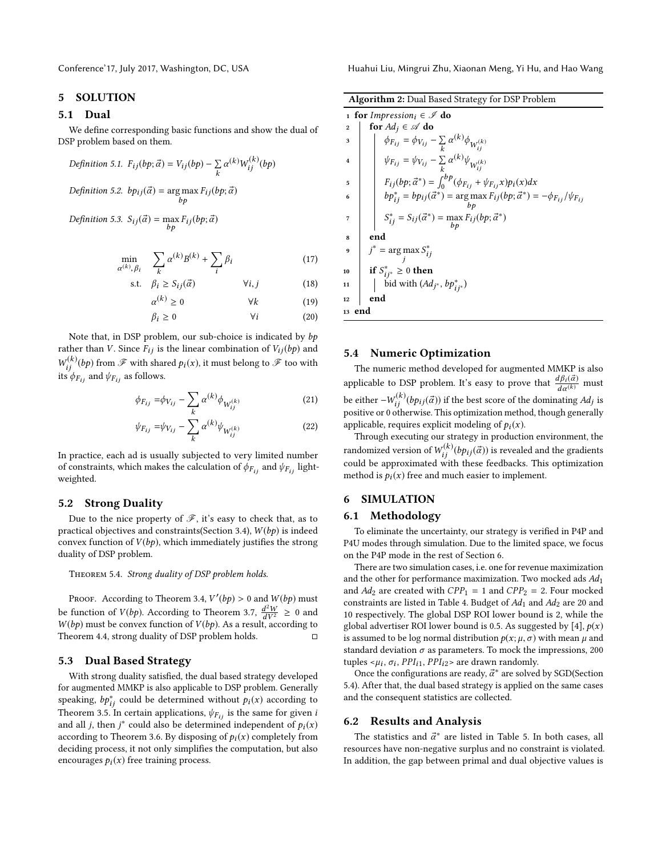## <span id="page-5-0"></span>5 SOLUTION

## 5.1 Dual

We define corresponding basic functions and show the dual of DSP problem based on them.

Definition 5.1. 
$$
F_{ij}(bp; \vec{\alpha}) = V_{ij}(bp) - \sum_k \alpha^{(k)} W_{ij}^{(k)}(bp)
$$
  
Definition 5.2.  $bp_{ij}(\vec{\alpha}) = \arg \max_{bp} F_{ij}(bp; \vec{\alpha})$ 

$$
Definition 5.3. S_{ij}(\vec{\alpha}) = \max_{bp} F_{ij}(bp; \vec{\alpha})
$$

$$
\min_{\alpha^{(k)}, \beta_i} \quad \sum_k \alpha^{(k)} B^{(k)} + \sum_i \beta_i \tag{17}
$$

s.t. 
$$
\beta_i \ge S_{ij}(\vec{\alpha})
$$
  $\forall i, j$  (18)

$$
\alpha^{(k)} \ge 0 \qquad \forall k \qquad (19)
$$

$$
\beta_i \ge 0 \qquad \qquad \forall i \qquad \qquad (20)
$$

Note that, in DSP problem, our sub-choice is indicated by bp rather than *V*. Since  $F_{ij}$  is the linear combination of  $V_{ij}(bp)$  and  $W_{ij}$  ( $F$ ) and  $\psi_{F_{ij}}$  as follows.  $\mathcal{F}_{ij}^{(k)}(bp)$  from  $\mathscr F$  with shared  $p_i(x)$ , it must belong to  $\mathscr F$  too with

$$
\phi_{F_{ij}} = \phi_{V_{ij}} - \sum_{k} \alpha^{(k)} \phi_{W_{ij}^{(k)}}
$$
(21)

$$
\psi_{F_{ij}} = \psi_{V_{ij}} - \sum_{k}^{\dots} \alpha^{(k)} \psi_{W_{ij}^{(k)}}
$$
(22)

In practice, each ad is usually subjected to very limited number of constraints, which makes the calculation of  $\phi_{F_{ij}}$  and  $\psi_{F_{ij}}$  lightweighted.

#### 5.2 Strong Duality

Due to the nice property of  $\mathscr{F}$ , it's easy to check that, as to practical objectives and constraints(Section [3.4\)](#page-2-3),  $W(bp)$  is indeed convex function of  $V(bp)$ , which immediately justifies the strong duality of DSP problem.

<span id="page-5-4"></span>Theorem 5.4. Strong duality of DSP problem holds.

PROOF. According to Theorem [3.4,](#page-2-4)  $V'(bp) > 0$  and  $W(bp)$  must<br>feasible of  $V(bx)$ , According to Theorem 3.7,  $d^2W > 0$  and be function of  $V(bp)$ . According to Theorem [3.7,](#page-2-5)  $\frac{d^2}{dt^2}$ <br> $W(b)$  must be convex function of  $V(b)$ . As a result  $\frac{d^2W}{dV^2} \geq 0$  and<br>t. according to  $W(bp)$  must be convex function of  $V(bp)$ . As a result, according to Theorem 4.4, strong duality of DSP problem holds. Theorem [4.4,](#page-4-1) strong duality of DSP problem holds.

#### <span id="page-5-2"></span>5.3 Dual Based Strategy

With strong duality satisfied, the dual based strategy developed for augmented MMKP is also applicable to DSP problem. Generally speaking,  $bp_{ij}^*$  could be determined without  $p_i(x)$  according to Theorem 3.5. In certain applications  $p_{ix}$  is the same for given in Theorem [3.5.](#page-2-6) In certain applications,  $\psi_{F_{ij}}$  is the same for given *i* and all *j*, then  $j^*$  could also be determined independent of  $p_i(x)$ <br>according to Theorem 3.6. By disposing of  $p_i(x)$  completely from according to Theorem [3.6.](#page-2-7) By disposing of  $p_i(x)$  completely from deciding process, it not only simplifies the computation, but also encourages  $p_i(x)$  free training process.

Conference'17, July 2017, Washington, DC, USA Huahui Liu, Mingrui Zhu, Xiaonan Meng, Yi Hu, and Hao Wang

|                  | 1 for Impression <sub>i</sub> $\in \mathscr{I}$ do                                                                                                                                   |
|------------------|--------------------------------------------------------------------------------------------------------------------------------------------------------------------------------------|
| $\boldsymbol{2}$ | for $Ad_i \in \mathscr{A}$ do                                                                                                                                                        |
| 3                | $\begin{aligned} \phi_{F_{ij}} &= \phi_{V_{ij}} - \sum_k \alpha^{(k)} \phi_{W_{ij}^{(k)}} \\ \psi_{F_{ij}} &= \psi_{V_{ij}} - \sum_k \alpha^{(k)} \psi_{W_{ij}^{(k)}} \end{aligned}$ |
|                  |                                                                                                                                                                                      |
| 5                | $F_{ij}(bp; \vec{\alpha}^*) = \int_0^{bp} (\phi_{F_{ij}} + \psi_{F_{ij}} x)p_i(x)dx$                                                                                                 |
| 6                | $b p_{ij}^* = b p_{ij}(\vec{\alpha}^*) = \arg \max F_{ij}(b p; \vec{\alpha}^*) = -\phi_{F_{ij}}/\psi_{F_{ij}}$                                                                       |
| 7                | $S_{ij}^* = S_{ij}(\vec{\alpha}^*) = \max_{h,n} F_{ij}(bp; \vec{\alpha}^*)$                                                                                                          |
| 8                | end                                                                                                                                                                                  |
| 9                | $j^*$ = arg max $S_{ij}^*$                                                                                                                                                           |
| 10               | if $S_{ij^*}^* \geq 0$ then                                                                                                                                                          |
| 11               | bid with $(Ad_{j^*}, bp_{ij^*}^*)$                                                                                                                                                   |
| 12               | end                                                                                                                                                                                  |
| 13 end           |                                                                                                                                                                                      |

## <span id="page-5-3"></span>5.4 Numeric Optimization

The numeric method developed for augmented MMKP is also applicable to DSP problem. It's easy to prove that  $\frac{d\beta_i(\vec{\alpha})}{d\alpha^{(k)}}$  must be either  $-W^{(k)}_{ij}(bp_{ij}(\vec{\alpha}))$  if the best score of the dominating  $Ad_j$  is<br>positive or 0 otherwise. This optimization method, though generally positive or 0 otherwise. This optimization method, though generally applicable, requires explicit modeling of  $p_i(x)$ .

Through executing our strategy in production environment, the randomized version of  $W_{ij}^{(k)}(b p_{ij}(\vec{\alpha}))$  is revealed and the gradients<br>could be approximated with these feedbacks. This optimization could be approximated with these feedbacks. This optimization method is  $p_i(x)$  free and much easier to implement.

## <span id="page-5-1"></span>6 SIMULATION

#### 6.1 Methodology

To eliminate the uncertainty, our strategy is verified in P4P and P4U modes through simulation. Due to the limited space, we focus on the P4P mode in the rest of Section [6.](#page-5-1)

There are two simulation cases, i.e. one for revenue maximization and the other for performance maximization. Two mocked ads  $Ad<sub>1</sub>$ and  $Ad_2$  are created with  $CPP_1 = 1$  and  $CPP_2 = 2$ . Four mocked constraints are listed in Table [4.](#page-6-1) Budget of  $Ad_1$  and  $Ad_2$  are 20 and 10 respectively. The global DSP ROI lower bound is 2, while the global advertiser ROI lower bound is 0.5. As suggested by [\[4\]](#page-9-14),  $p(x)$ is assumed to be log normal distribution  $p(x; \mu, \sigma)$  with mean  $\mu$  and standard deviation  $\sigma$  as parameters. To mock the impressions, 200 tuples  $\lt \mu_i$ ,  $\sigma_i$ ,  $PPI_{i1}$ ,  $PPI_{i2}$  are drawn randomly.<br>Once the configurations are ready  $\vec{\sigma}^*$  are solved

Once the configurations are ready,  $\vec{\alpha}^*$  are solved by SGD(Section). After that the dual based strategy is applied on the same cases [5.4\)](#page-5-3). After that, the dual based strategy is applied on the same cases and the consequent statistics are collected.

## 6.2 Results and Analysis

The statistics and  $\vec{\alpha}^*$  are listed in Table [5.](#page-7-0) In both cases, all courses have non-negative surplus and no constraint is violated resources have non-negative surplus and no constraint is violated. In addition, the gap between primal and dual objective values is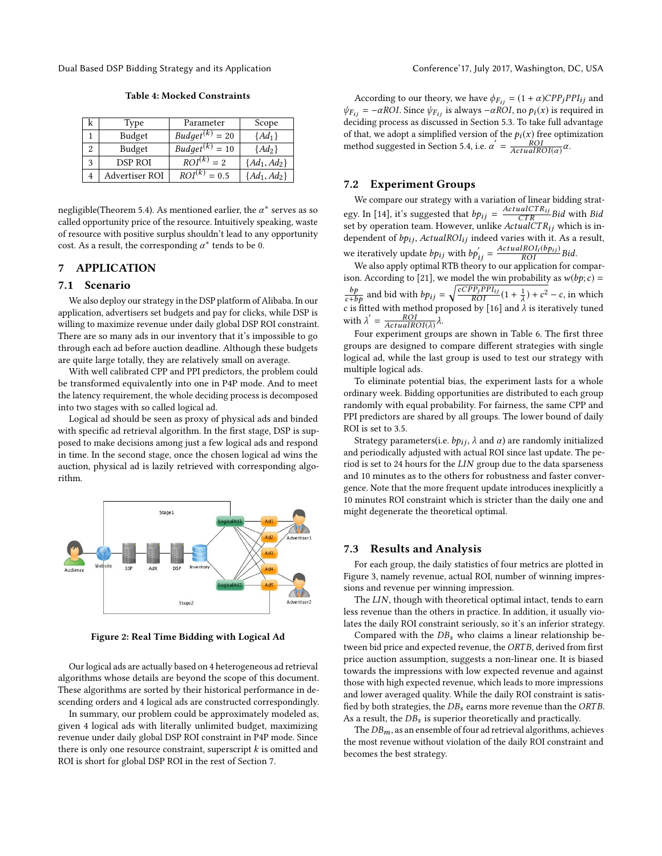<span id="page-6-1"></span>Dual Based DSP Bidding Strategy and its Application Conference' Conference' 17, July 2017, Washington, DC, USA

| k | Type           | Parameter                | Scope            |
|---|----------------|--------------------------|------------------|
|   | Budget         | $Budget^{(k)}$<br>$= 20$ | $\{Ad_1\}$       |
|   | Budget         | $Budget^{(k)}$<br>$= 10$ | $\{Ad_2\}$       |
| 3 | <b>DSP ROI</b> | $ROI^{(k)} = 2$          | $\{Ad_1, Ad_2\}$ |
|   | Advertiser ROI | $ROI^{(k)}$<br>$= 0.5$   | $\{Ad_1, Ad_2\}$ |
|   |                |                          |                  |

negligible(Theorem [5.4\)](#page-5-4). As mentioned earlier, the  $\alpha^*$  serves as so called opportunity price of the resource Intuitively speaking waste called opportunity price of the resource. Intuitively speaking, waste of resource with positive surplus shouldn't lead to any opportunity cost. As a result, the corresponding  $\alpha^*$  tends to be 0.

## <span id="page-6-0"></span>7 APPLICATION

## 7.1 Scenario

We also deploy our strategy in the DSP platform of Alibaba. In our application, advertisers set budgets and pay for clicks, while DSP is willing to maximize revenue under daily global DSP ROI constraint. There are so many ads in our inventory that it's impossible to go through each ad before auction deadline. Although these budgets are quite large totally, they are relatively small on average.

With well calibrated CPP and PPI predictors, the problem could be transformed equivalently into one in P4P mode. And to meet the latency requirement, the whole deciding process is decomposed into two stages with so called logical ad.

Logical ad should be seen as proxy of physical ads and binded with specific ad retrieval algorithm. In the first stage, DSP is supposed to make decisions among just a few logical ads and respond in time. In the second stage, once the chosen logical ad wins the auction, physical ad is lazily retrieved with corresponding algorithm.



Figure 2: Real Time Bidding with Logical Ad

Our logical ads are actually based on 4 heterogeneous ad retrieval algorithms whose details are beyond the scope of this document. These algorithms are sorted by their historical performance in descending orders and 4 logical ads are constructed correspondingly.

In summary, our problem could be approximately modeled as, given 4 logical ads with literally unlimited budget, maximizing revenue under daily global DSP ROI constraint in P4P mode. Since there is only one resource constraint, superscript  $k$  is omitted and ROI is short for global DSP ROI in the rest of Section [7.](#page-6-0)

According to our theory, we have  $\phi_{F_{ij}} = (1 + \alpha)CPP_jPPI_{ij}$  and  $\psi_{F_{ij}} = -\alpha ROI$ . Since  $\psi_{F_{ij}}$  is always  $-\alpha ROI$ , no  $p_i(x)$  is required in deciding process as discussed in Section [5.3.](#page-5-2) To take full advantage of that, we adopt a simplified version of the  $p_i(\boldsymbol{x})$  free optimization method suggested in Section [5.4,](#page-5-3) i.e.  $\alpha' = \frac{ROI}{ActualROI(\alpha)} \alpha$ .

### 7.2 Experiment Groups

We compare our strategy with a variation of linear bidding strat-egy. In [\[14\]](#page-9-1), it's suggested that  $b p_{ij} = \frac{ActualCTR_{ij}}{CTRR_{ij}}$  Bid with Bid<br>set by operation team. However, unlike  $ActualCTR_{ij}$  which is in set by operation team. However, unlike  $ActualCTR_{ij}$  which is in-<br>dependent of hn:  $ActualDCU$ ; indeed varies with it. As a result dependent of  $bp_{ij}$ , ActualROI<sub>ij</sub> indeed varies with it. As a result, we iteratively update  $bp_{ij}$  with  $bp'_{ij} = \frac{ActualROI_i(bp_{ij})}{ROI} Bid.$ <br>We also apply optimal RTB theory to our application for compar-

ison. According to [\[21\]](#page-9-2), we model the win probability as  $w(bp;c)$  =  $\frac{bp}{c+bp}$  and bid with  $bp_{ij} = \sqrt{\frac{cCPp_jPPI_{ij}}{ROI}}(1 + \frac{1}{\lambda})$ <br>c is fitted with method proposed by [16] and *i*  $\frac{1}{\lambda}$ ) +  $c^2$  – c, in which c is fitted with method proposed by [\[16\]](#page-9-15) and  $\lambda$  is iteratively tuned<br>with  $1' = ROI$ with  $\lambda' = \frac{ROI}{ActualROI(\lambda)} \lambda$ .

 $\lim_{\Delta t \to \Delta t} \frac{A_{\text{c} t} - A_{\text{c} t} - A_{\text{c} t} - A_{\text{c} t} - A_{\text{c} t}}{\Delta t}$  four experiment groups are shown in Table [6.](#page-7-1) The first three groups are designed to compare different strategies with single logical ad, while the last group is used to test our strategy with multiple logical ads.

To eliminate potential bias, the experiment lasts for a whole ordinary week. Bidding opportunities are distributed to each group randomly with equal probability. For fairness, the same CPP and PPI predictors are shared by all groups. The lower bound of daily ROI is set to 3.5.

Strategy parameters(i.e.  $bp_{ij}$ ,  $\lambda$  and  $\alpha$ ) are randomly initialized and periodically adjusted with actual ROI since last update. The period is set to 24 hours for the LIN group due to the data sparseness and 10 minutes as to the others for robustness and faster convergence. Note that the more frequent update introduces inexplicitly a 10 minutes ROI constraint which is stricter than the daily one and might degenerate the theoretical optimal.

## 7.3 Results and Analysis

For each group, the daily statistics of four metrics are plotted in Figure [3,](#page-7-2) namely revenue, actual ROI, number of winning impressions and revenue per winning impression.

The LIN, though with theoretical optimal intact, tends to earn less revenue than the others in practice. In addition, it usually violates the daily ROI constraint seriously, so it's an inferior strategy.

Compared with the  $DB_s$  who claims a linear relationship between bid price and expected revenue, the ORTB, derived from first price auction assumption, suggests a non-linear one. It is biased towards the impressions with low expected revenue and against those with high expected revenue, which leads to more impressions and lower averaged quality. While the daily ROI constraint is satisfied by both strategies, the  $DB_s$  earns more revenue than the ORTB. As a result, the  $DB_s$  is superior theoretically and practically.

The  $DB_m$ , as an ensemble of four ad retrieval algorithms, achieves the most revenue without violation of the daily ROI constraint and becomes the best strategy.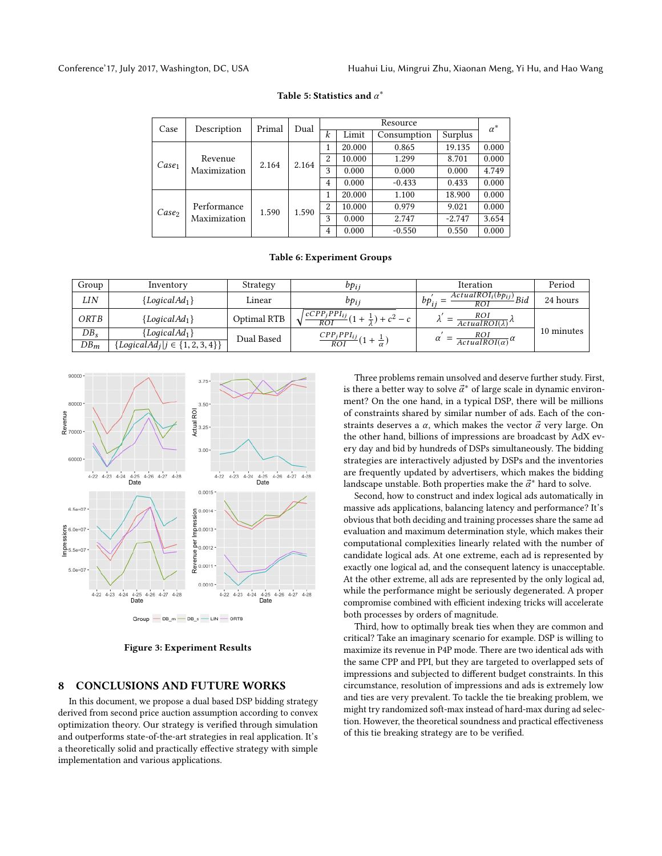<span id="page-7-0"></span>

| Case              | Description                 | Primal | Resource<br>Dual |                  |        | $\alpha^*$  |          |       |
|-------------------|-----------------------------|--------|------------------|------------------|--------|-------------|----------|-------|
|                   |                             |        |                  | $\boldsymbol{k}$ | Limit  | Consumption | Surplus  |       |
| Case <sub>1</sub> | Revenue<br>Maximization     |        |                  | 1                | 20.000 | 0.865       | 19.135   | 0.000 |
|                   |                             | 2.164  | 2.164            | $\overline{c}$   | 10.000 | 1.299       | 8.701    | 0.000 |
|                   |                             |        |                  | 3                | 0.000  | 0.000       | 0.000    | 4.749 |
|                   |                             |        |                  | $\overline{4}$   | 0.000  | $-0.433$    | 0.433    | 0.000 |
| Case <sub>2</sub> | Performance<br>Maximization |        |                  | 1                | 20.000 | 1.100       | 18.900   | 0.000 |
|                   |                             | 1.590  | 1.590            | 2                | 10.000 | 0.979       | 9.021    | 0.000 |
|                   |                             |        |                  | 3                | 0.000  | 2.747       | $-2.747$ | 3.654 |
|                   |                             |        |                  | $\overline{4}$   | 0.000  | $-0.550$    | 0.550    | 0.000 |

# Table 5: Statistics and  $\alpha^*$

#### Table 6: Experiment Groups

<span id="page-7-1"></span>

| Group  | Inventory                                 | Strategy    | $bp_{ij}$                                                         | <b>Iteration</b>                                                    | Period     |
|--------|-------------------------------------------|-------------|-------------------------------------------------------------------|---------------------------------------------------------------------|------------|
| LIN    | ${LocalAd}_1$                             | Linear      | $bp_{ii}$                                                         | $\overline{ActualROI_i(bp_{ij})}$ Bid<br>$bp_i$<br>$\overline{ROI}$ | 24 hours   |
| ORTB   | ${LocalAd}_1$                             | Optimal RTB | $1c\overline{CPP_jPPI_{ij}}(1+1)$<br>$-\frac{1}{2}$ ) + $c^2$ – c | ROI<br>$ActualROI(\lambda)$ <sup><math>\Lambda</math></sup>         |            |
| $DB_s$ | ${LocalAd}_1$                             | Dual Based  | $\frac{CPP_jPPI_{ij}}{ROI}(1+\frac{1}{\alpha})$                   | $rac{ROI}{ActualROI(\alpha)}$ $\alpha$                              | 10 minutes |
| $DB_m$ | $\{LogicalAd_j   j \in \{1, 2, 3, 4\}\}\$ |             |                                                                   |                                                                     |            |

<span id="page-7-2"></span>

Figure 3: Experiment Results

## 8 CONCLUSIONS AND FUTURE WORKS

In this document, we propose a dual based DSP bidding strategy derived from second price auction assumption according to convex optimization theory. Our strategy is verified through simulation and outperforms state-of-the-art strategies in real application. It's a theoretically solid and practically effective strategy with simple implementation and various applications.

Three problems remain unsolved and deserve further study. First, is there a better way to solve  $\vec{\alpha}^*$  of large scale in dynamic environ-<br>ment? On the one hand, in a typical DSP, there will be millions ment? On the one hand, in a typical DSP, there will be millions of constraints shared by similar number of ads. Each of the constraints deserves a  $\alpha$ , which makes the vector  $\vec{\alpha}$  very large. On the other hand, billions of impressions are broadcast by AdX every day and bid by hundreds of DSPs simultaneously. The bidding strategies are interactively adjusted by DSPs and the inventories are frequently updated by advertisers, which makes the bidding landscape unstable. Both properties make the  $\vec{\alpha}^*$  hard to solve.<br>Second how to construct and index logical ads automatically

Second, how to construct and index logical ads automatically in massive ads applications, balancing latency and performance? It's obvious that both deciding and training processes share the same ad evaluation and maximum determination style, which makes their computational complexities linearly related with the number of candidate logical ads. At one extreme, each ad is represented by exactly one logical ad, and the consequent latency is unacceptable. At the other extreme, all ads are represented by the only logical ad, while the performance might be seriously degenerated. A proper compromise combined with efficient indexing tricks will accelerate both processes by orders of magnitude.

Third, how to optimally break ties when they are common and critical? Take an imaginary scenario for example. DSP is willing to maximize its revenue in P4P mode. There are two identical ads with the same CPP and PPI, but they are targeted to overlapped sets of impressions and subjected to different budget constraints. In this circumstance, resolution of impressions and ads is extremely low and ties are very prevalent. To tackle the tie breaking problem, we might try randomized soft-max instead of hard-max during ad selection. However, the theoretical soundness and practical effectiveness of this tie breaking strategy are to be verified.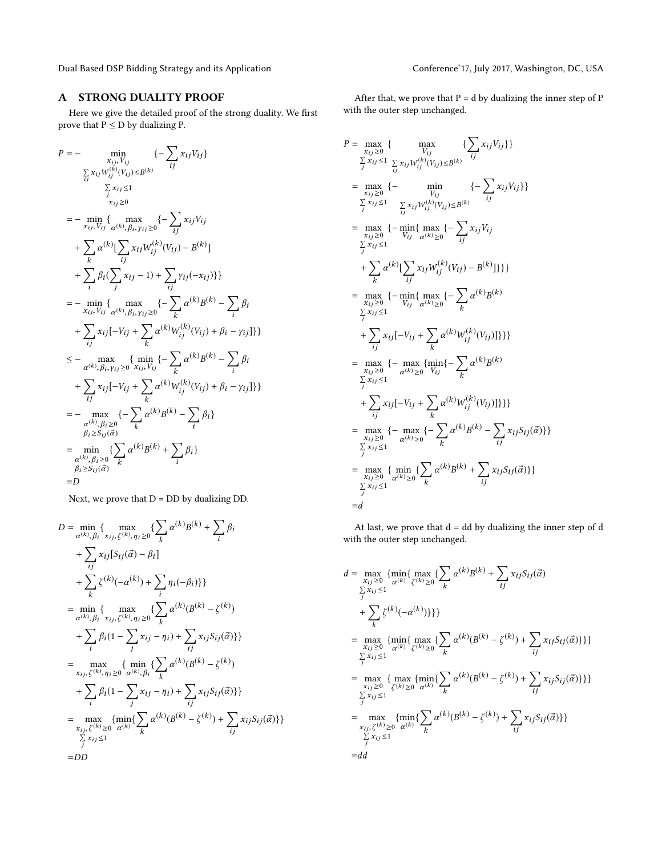Dual Based DSP Bidding Strategy and its Application Conference' 17, July 2017, Washington, DC, USA

# A STRONG DUALITY PROOF

Here we give the detailed proof of the strong duality. We first prove that  $P \le D$  by dualizing P.

$$
P = - \min_{\substack{x_{ij}, y_{ij} \\ \sum_{ij} x_{ij} \le 1}} \{- \sum_{ij} x_{ij} v_{ij} \}
$$
  
\n
$$
= - \min_{\substack{x_{ij}, y_{ij} \\ \sum_{ij} x_{ij} \le 1}} \max_{(k, k, y_{ij}) \le 0} \{- \sum_{ij} x_{ij} v_{ij}
$$
  
\n
$$
+ \sum_{k} \alpha^{(k)} [\sum_{ij} x_{ij} w_{ij}^{(k)} (v_{ij}) - B^{(k)}]
$$
  
\n
$$
+ \sum_{i} \beta_{i} (\sum_{j} x_{ij} - 1) + \sum_{ij} y_{ij} (-x_{ij}) \}
$$
  
\n
$$
= - \min_{x_{ij}, y_{ij}} \{ \max_{\alpha^{(k)}, \beta_{i}, y_{ij} \ge 0} \{- \sum_{k} \alpha^{(k)} B^{(k)} - \sum_{i} \beta_{i} \}
$$
  
\n
$$
+ \sum_{ij} x_{ij} [-v_{ij} + \sum_{k} \alpha^{(k)} W_{ij}^{(k)} (v_{ij}) + \beta_{i} - \gamma_{ij}] \}
$$
  
\n
$$
\le - \max_{\alpha^{(k)}, \beta_{i}, y_{ij} \ge 0} \{ \min_{x_{ij}, y_{ij}} \{- \sum_{k} \alpha^{(k)} B^{(k)} - \sum_{i} \beta_{i} \}
$$
  
\n
$$
+ \sum_{ij} x_{ij} [-v_{ij} + \sum_{k} \alpha^{(k)} W_{ij}^{(k)} (v_{ij}) + \beta_{i} - \gamma_{ij}] \}
$$
  
\n
$$
= - \max_{\alpha^{(k)}, \beta_{i} \ge 0} \{- \sum_{k} \alpha^{(k)} B^{(k)} - \sum_{i} \beta_{i} \}
$$
  
\n
$$
= \min_{\alpha^{(k)}, \beta_{i} \ge 0} \{ \sum_{k} \alpha^{(k)} B^{(k)} - \sum_{i} \beta_{i} \}
$$
  
\n
$$
= \min_{\alpha^{(k)}, \beta_{i} \ge 0} \{ \sum_{k} \alpha^{(k)} B^{(k)} + \sum_{i} \beta_{i} \}
$$
  
\n
$$
= D
$$

 $=D$ <br>Next, we prove that D = DD by dualizing DD.

$$
D = \min_{\alpha^{(k)}, \beta_i} \{ \max_{x_{ij}, \zeta^{(k)}, \eta_i \ge 0} \{ \sum_k \alpha^{(k)} B^{(k)} + \sum_i \beta_i
$$
  
+ 
$$
\sum_{ij} x_{ij} [S_{ij}(\vec{\alpha}) - \beta_i]
$$
  
+ 
$$
\sum_k \zeta^{(k)} (-\alpha^{(k)}) + \sum_i \eta_i (-\beta_i) \}
$$
  
= 
$$
\min_{\alpha^{(k)}, \beta_i} \{ \max_{x_{ij}, \zeta^{(k)}, \eta_i \ge 0} \{ \sum_k \alpha^{(k)} (B^{(k)} - \zeta^{(k)})
$$
  
+ 
$$
\sum_i \beta_i (1 - \sum_j x_{ij} - \eta_i) + \sum_{ij} x_{ij} S_{ij}(\vec{\alpha}) \}
$$
  
= 
$$
\max_{x_{ij}, \zeta^{(k)}, \eta_i \ge 0} \{ \min_{\alpha^{(k)}, \beta_i} \{ \sum_k \alpha^{(k)} (B^{(k)} - \zeta^{(k)})
$$
  
+ 
$$
\sum_i \beta_i (1 - \sum_j x_{ij} - \eta_i) + \sum_{ij} x_{ij} S_{ij}(\vec{\alpha}) \}
$$
  
= 
$$
\max_{x_{ij}, \zeta^{(k)} \ge 0} \{ \min_{\alpha^{(k)}} \{ \sum_k \alpha^{(k)} (B^{(k)} - \zeta^{(k)}) + \sum_j x_{ij} S_{ij}(\vec{\alpha}) \} \}
$$
  
= DD

After that, we prove that  $P = d$  by dualizing the inner step of  $P$ with the outer step unchanged.

$$
P = \max_{\substack{x_{ij} \geq 0 \\ \sum_{j} x_{ij} \leq 1}} \{ \max_{\substack{\sum_{j} x_{ij} \leq 1 \\ \sum_{j} x_{ij} \leq 1}} \sum_{\substack{\sum_{j} x_{ij} W_{ij}^{(k)}(V_{ij}) \leq B^{(k)}}} \{ - \sum_{ij} x_{ij} V_{ij} \}
$$
\n
$$
= \max_{\substack{x_{ij} \geq 0 \\ \sum_{j} x_{ij} \leq 1}} \{ - \min_{\substack{\sum_{j} x_{ij} W_{ij}^{(k)}(V_{ij}) \leq B^{(k)}}} \{ - \sum_{ij} x_{ij} V_{ij} \}
$$
\n
$$
= \max_{\substack{x_{ij} \geq 0 \\ \sum_{j} x_{ij} \leq 1}} \{ - \min_{V_{ij}} \{ \max_{\alpha(k) \geq 0} \{ - \sum_{ij} x_{ij} V_{ij} \}
$$
\n
$$
+ \sum_{k} \alpha^{(k)} \left[ \sum_{j} x_{ij} W_{ij}^{(k)}(V_{ij}) - B^{(k)} \right] \} \}
$$
\n
$$
= \max_{\substack{x_{ij} \geq 0 \\ \sum_{j} x_{ij} \leq 1}} \{ - \min_{V_{ij}} \{ \max_{\alpha(k) \geq 0} \{ - \sum_{k} \alpha^{(k)} B^{(k)} \}
$$
\n
$$
+ \sum_{j} x_{ij} \left[ -V_{ij} + \sum_{k} \alpha^{(k)} W_{ij}^{(k)}(V_{ij}) \right] \} \}
$$
\n
$$
= \max_{\substack{x_{ij} \geq 0 \\ \sum_{j} x_{ij} \leq 1}} \{ - \max_{\alpha(k) \geq 0} \{ \max_{V_{ij}} \{ - \sum_{k} \alpha^{(k)} B^{(k)} - \sum_{j} x_{ij} S_{ij}(\vec{\alpha}) \} \}
$$
\n
$$
= \max_{\substack{x_{ij} \geq 0 \\ \sum_{j} x_{ij} \leq 1}} \{ - \max_{\alpha(k) \geq 0} \{ - \sum_{k} \alpha^{(k)} B^{(k)} - \sum_{j} x_{ij} S_{ij}(\vec{\alpha}) \} \}
$$
\n
$$
= \max_{\substack{x_{ij} \geq 0 \\ \sum_{j} x_{ij} \leq
$$

At last, we prove that  $\mathbf{d} = \mathbf{d} \mathbf{d}$  by dualizing the inner step of  $\mathbf{d}$ with the outer step unchanged.

$$
d = \max_{\substack{x_{ij} \geq 0 \\ \sum_{j} x_{ij} \leq 1}} \{ \max_{\alpha^{(k)} \ \zeta^{(k)} \geq 0} \{ \sum_{k} \alpha^{(k)} B^{(k)} + \sum_{ij} x_{ij} S_{ij}(\vec{\alpha}) + \sum_{j} x_{ij} S_{ij}(\vec{\alpha}) \}
$$
  
+ 
$$
\sum_{k} \zeta^{(k)}(-\alpha^{(k)}) \} \}
$$
  
= 
$$
\max_{\substack{x_{ij} \geq 0 \\ \sum_{j} x_{ij} \leq 1}} \{ \min_{\alpha^{(k)} \ \zeta^{(k)} \geq 0} \{ \sum_{k} \alpha^{(k)} (B^{(k)} - \zeta^{(k)}) + \sum_{ij} x_{ij} S_{ij}(\vec{\alpha}) \} \} \}
$$
  
= 
$$
\max_{\substack{x_{ij} \geq 0 \\ \sum_{j} x_{ij} \leq 1}} \{ \max_{\zeta^{(k)} \geq 0} \alpha^{(k)} \} \{ \sum_{k} \alpha^{(k)} (B^{(k)} - \zeta^{(k)}) + \sum_{ij} x_{ij} S_{ij}(\vec{\alpha}) \} \}
$$
  
= 
$$
\max_{\substack{x_{ij}, \zeta^{(k)} \geq 0 \\ \sum_{j} x_{ij} \leq 1}} \{ \min_{\alpha^{(k)} \ \zeta^{(k)} \geq 0} \alpha^{(k)} (B^{(k)} - \zeta^{(k)}) + \sum_{ij} x_{ij} S_{ij}(\vec{\alpha}) \} \}
$$
  
= 
$$
\frac{1}{2} \alpha^{(k)} \frac{1}{2} \alpha^{(k)} \frac{1}{2} \alpha^{(k)} \frac{1}{2} \alpha^{(k)} \frac{1}{2} \alpha^{(k)} \frac{1}{2} \alpha^{(k)} \frac{1}{2} \alpha^{(k)} \frac{1}{2} \alpha^{(k)} \frac{1}{2} \alpha^{(k)} \frac{1}{2} \alpha^{(k)} \frac{1}{2} \alpha^{(k)} \frac{1}{2} \alpha^{(k)} \frac{1}{2} \alpha^{(k)} \frac{1}{2} \alpha^{(k)} \frac{1}{2} \alpha^{(k)} \frac{1}{2} \alpha^{(k)} \frac{1}{2} \alpha^{(k)} \frac{1}{2} \alpha^{(k)} \frac{1}{2} \alpha^{(k)} \frac{1}{2}
$$